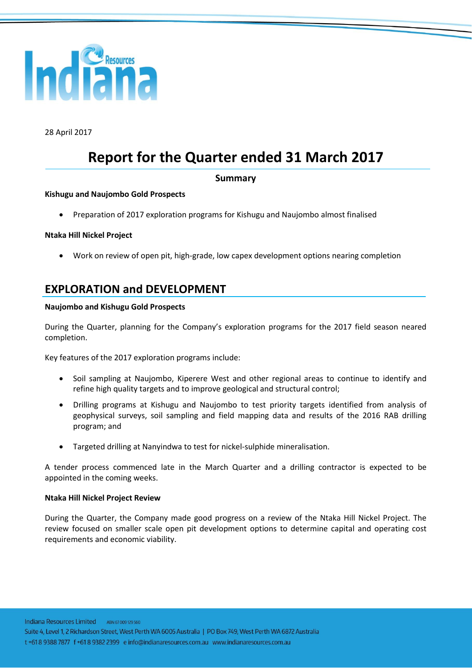

28 April 2017

# **Report for the Quarter ended 31 March 2017**

#### **Summary**

#### **Kishugu and Naujombo Gold Prospects**

Preparation of 2017 exploration programs for Kishugu and Naujombo almost finalised

#### **Ntaka Hill Nickel Project**

Work on review of open pit, high-grade, low capex development options nearing completion

## **EXPLORATION and DEVELOPMENT**

#### **Naujombo and Kishugu Gold Prospects**

During the Quarter, planning for the Company's exploration programs for the 2017 field season neared completion.

Key features of the 2017 exploration programs include:

- Soil sampling at Naujombo, Kiperere West and other regional areas to continue to identify and refine high quality targets and to improve geological and structural control;
- Drilling programs at Kishugu and Naujombo to test priority targets identified from analysis of geophysical surveys, soil sampling and field mapping data and results of the 2016 RAB drilling program; and
- Targeted drilling at Nanyindwa to test for nickel-sulphide mineralisation.

A tender process commenced late in the March Quarter and a drilling contractor is expected to be appointed in the coming weeks.

#### **Ntaka Hill Nickel Project Review**

During the Quarter, the Company made good progress on a review of the Ntaka Hill Nickel Project. The review focused on smaller scale open pit development options to determine capital and operating cost requirements and economic viability.

Indiana Resources Limited ABN 67 009 129 560 Suite 4, Level 1, 2 Richardson Street, West Perth WA 6005 Australia | PO Box 749, West Perth WA 6872 Australia t +61 8 9388 7877 f +61 8 9382 2399 e info@indianaresources.com.au www.indianaresources.com.au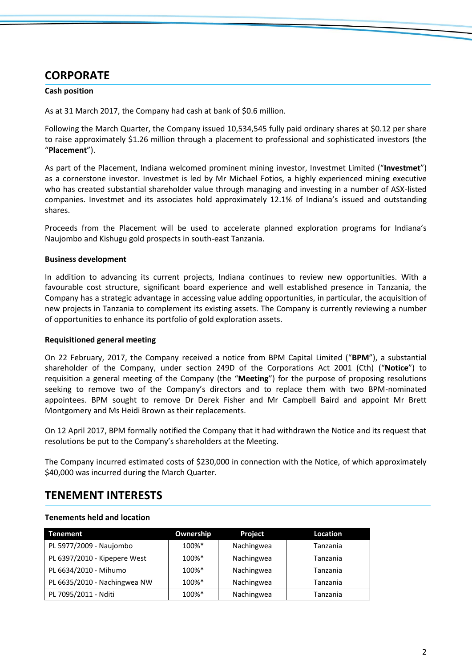# **CORPORATE**

#### **Cash position**

As at 31 March 2017, the Company had cash at bank of \$0.6 million.

Following the March Quarter, the Company issued 10,534,545 fully paid ordinary shares at \$0.12 per share to raise approximately \$1.26 million through a placement to professional and sophisticated investors (the "**Placement**").

As part of the Placement, Indiana welcomed prominent mining investor, Investmet Limited ("**Investmet**") as a cornerstone investor. Investmet is led by Mr Michael Fotios, a highly experienced mining executive who has created substantial shareholder value through managing and investing in a number of ASX-listed companies. Investmet and its associates hold approximately 12.1% of Indiana's issued and outstanding shares.

Proceeds from the Placement will be used to accelerate planned exploration programs for Indiana's Naujombo and Kishugu gold prospects in south-east Tanzania.

#### **Business development**

In addition to advancing its current projects, Indiana continues to review new opportunities. With a favourable cost structure, significant board experience and well established presence in Tanzania, the Company has a strategic advantage in accessing value adding opportunities, in particular, the acquisition of new projects in Tanzania to complement its existing assets. The Company is currently reviewing a number of opportunities to enhance its portfolio of gold exploration assets.

#### **Requisitioned general meeting**

On 22 February, 2017, the Company received a notice from BPM Capital Limited ("**BPM**"), a substantial shareholder of the Company, under section 249D of the Corporations Act 2001 (Cth) ("**Notice**") to requisition a general meeting of the Company (the "**Meeting**") for the purpose of proposing resolutions seeking to remove two of the Company's directors and to replace them with two BPM-nominated appointees. BPM sought to remove Dr Derek Fisher and Mr Campbell Baird and appoint Mr Brett Montgomery and Ms Heidi Brown as their replacements.

On 12 April 2017, BPM formally notified the Company that it had withdrawn the Notice and its request that resolutions be put to the Company's shareholders at the Meeting.

The Company incurred estimated costs of \$230,000 in connection with the Notice, of which approximately \$40,000 was incurred during the March Quarter.

### **TENEMENT INTERESTS**

#### **Tenements held and location**

| Tenement                     | Ownership | Project    | <b>Location</b> |
|------------------------------|-----------|------------|-----------------|
| PL 5977/2009 - Naujombo      | 100%*     | Nachingwea | Tanzania        |
| PL 6397/2010 - Kipepere West | 100%*     | Nachingwea | Tanzania        |
| PL 6634/2010 - Mihumo        | 100%*     | Nachingwea | Tanzania        |
| PL 6635/2010 - Nachingwea NW | 100%*     | Nachingwea | Tanzania        |
| PL 7095/2011 - Nditi         | 100%*     | Nachingwea | Tanzania        |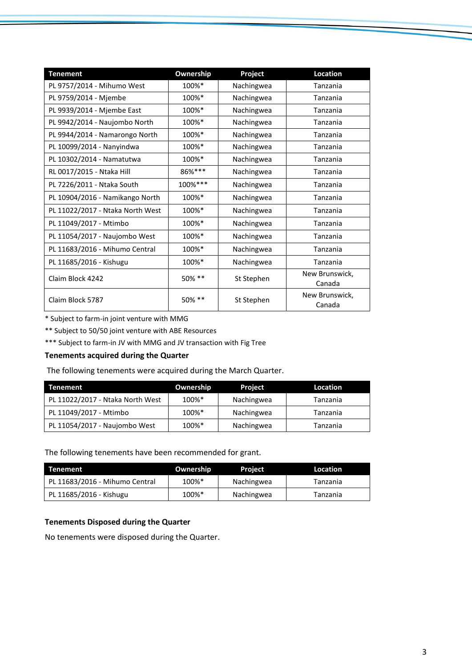| <b>Tenement</b>                  | Ownership | Project    | Location                 |
|----------------------------------|-----------|------------|--------------------------|
| PL 9757/2014 - Mihumo West       | 100%*     | Nachingwea | Tanzania                 |
| PL 9759/2014 - Mjembe            | 100%*     | Nachingwea | Tanzania                 |
| PL 9939/2014 - Mjembe East       | 100%*     | Nachingwea | Tanzania                 |
| PL 9942/2014 - Naujombo North    | 100%*     | Nachingwea | Tanzania                 |
| PL 9944/2014 - Namarongo North   | 100%*     | Nachingwea | Tanzania                 |
| PL 10099/2014 - Nanyindwa        | 100%*     | Nachingwea | Tanzania                 |
| PL 10302/2014 - Namatutwa        | 100%*     | Nachingwea | Tanzania                 |
| RL 0017/2015 - Ntaka Hill        | 86%***    | Nachingwea | Tanzania                 |
| PL 7226/2011 - Ntaka South       | 100%***   | Nachingwea | Tanzania                 |
| PL 10904/2016 - Namikango North  | 100%*     | Nachingwea | Tanzania                 |
| PL 11022/2017 - Ntaka North West | 100%*     | Nachingwea | Tanzania                 |
| PL 11049/2017 - Mtimbo           | 100%*     | Nachingwea | Tanzania                 |
| PL 11054/2017 - Naujombo West    | 100%*     | Nachingwea | Tanzania                 |
| PL 11683/2016 - Mihumo Central   | 100%*     | Nachingwea | Tanzania                 |
| PL 11685/2016 - Kishugu          | 100%*     | Nachingwea | Tanzania                 |
| Claim Block 4242                 | 50% **    | St Stephen | New Brunswick,<br>Canada |
| Claim Block 5787                 | 50% **    | St Stephen | New Brunswick,<br>Canada |

\* Subject to farm-in joint venture with MMG

\*\* Subject to 50/50 joint venture with ABE Resources

\*\*\* Subject to farm-in JV with MMG and JV transaction with Fig Tree

#### **Tenements acquired during the Quarter**

The following tenements were acquired during the March Quarter.

| <b>Tenement</b>                  | Ownership | <b>Project</b> | Location |
|----------------------------------|-----------|----------------|----------|
| PL 11022/2017 - Ntaka North West | 100%*     | Nachingwea     | Tanzania |
| PL 11049/2017 - Mtimbo           | 100%*     | Nachingwea     | Tanzania |
| PL 11054/2017 - Naujombo West    | 100%*     | Nachingwea     | Tanzania |

The following tenements have been recommended for grant.

| Tenement                       | Ownership | Project    | Location |
|--------------------------------|-----------|------------|----------|
| PL 11683/2016 - Mihumo Central | 100%*     | Nachingwea | Tanzania |
| PL 11685/2016 - Kishugu        | 100%*     | Nachingwea | Tanzania |

#### **Tenements Disposed during the Quarter**

No tenements were disposed during the Quarter.